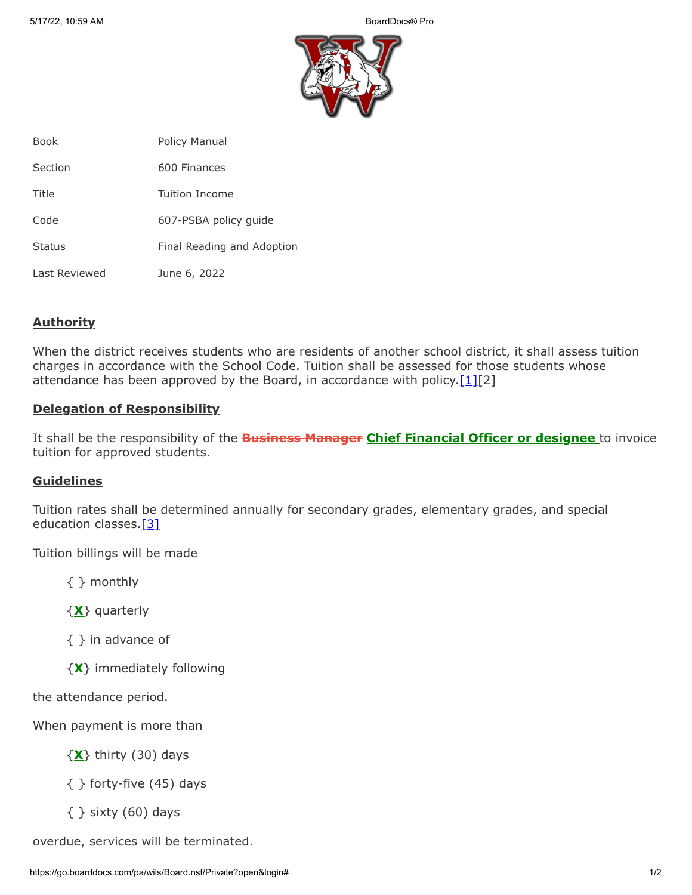

| <b>Book</b>   | Policy Manual              |
|---------------|----------------------------|
| Section       | 600 Finances               |
| Title         | Tuition Income             |
| Code          | 607-PSBA policy guide      |
| <b>Status</b> | Final Reading and Adoption |
| Last Reviewed | June 6, 2022               |

## **Authority**

When the district receives students who are residents of another school district, it shall assess tuition charges in accordance with the School Code. Tuition shall be assessed for those students whose attendance has been approved by the Board, in accordance with policy. $[1][2]$ 

## **Delegation of Responsibility**

It shall be the responsibility of the **Business Manager Chief Financial Officer or designee** to invoice tuition for approved students.

## **Guidelines**

Tuition rates shall be determined annually for secondary grades, elementary grades, and special education classes.[\[3\]](http://www.legis.state.pa.us/cfdocs/legis/LI/uconsCheck.cfm?txtType=HTM&yr=1949&sessInd=0&smthLwInd=0&act=14&chpt=25&sctn=61&subsctn=0)

Tuition billings will be made

{ } monthly

{**X**} quarterly

{ } in advance of

{**X**} immediately following

the attendance period.

When payment is more than

{**X**} thirty (30) days

{ } forty-five (45) days

 $\{ \}$  sixty (60) days

overdue, services will be terminated.